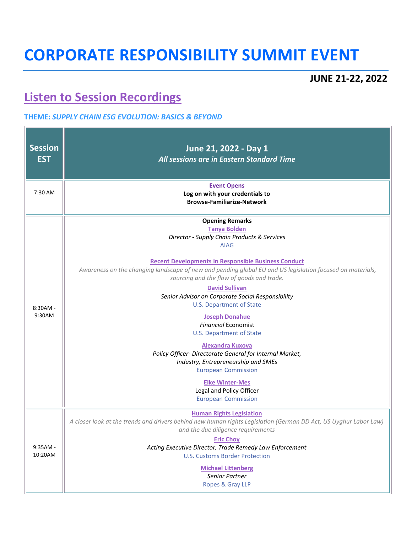## **CORPORATE RESPONSIBILITY SUMMIT EVENT**

## **JUNE 21-22, 2022**

 $\overline{\phantom{0}}$ 

## **[Listen to Session Recordings](https://vimeopro.com/user24808119/2022-virtual-corporate-responsibility-summit)**

<u> 1989 - Jan Stein Barn, mars an t-Amerikaansk ferske område og de formanner og de formanner og de formanner o</u>

 $\Box$ 

## **THEME:** *SUPPLY CHAIN ESG EVOLUTION: BASICS & BEYOND*

| <b>Session</b><br><b>EST</b> | June 21, 2022 - Day 1<br>All sessions are in Eastern Standard Time                                                                                                                                                                                                                                                                                                                                                                                                                                                                                                                                                                                                                                                                                                                             |  |  |  |  |
|------------------------------|------------------------------------------------------------------------------------------------------------------------------------------------------------------------------------------------------------------------------------------------------------------------------------------------------------------------------------------------------------------------------------------------------------------------------------------------------------------------------------------------------------------------------------------------------------------------------------------------------------------------------------------------------------------------------------------------------------------------------------------------------------------------------------------------|--|--|--|--|
| 7:30 AM                      | <b>Event Opens</b><br>Log on with your credentials to<br><b>Browse-Familiarize-Network</b>                                                                                                                                                                                                                                                                                                                                                                                                                                                                                                                                                                                                                                                                                                     |  |  |  |  |
| $8:30AM -$<br>9:30AM         | <b>Opening Remarks</b><br><b>Tanya Bolden</b><br>Director - Supply Chain Products & Services<br><b>AIAG</b><br><b>Recent Developments in Responsible Business Conduct</b><br>Awareness on the changing landscape of new and pending global EU and US legislation focused on materials,<br>sourcing and the flow of goods and trade.<br><b>David Sullivan</b><br>Senior Advisor on Corporate Social Responsibility<br><b>U.S. Department of State</b><br><b>Joseph Donahue</b><br><b>Financial Economist</b><br><b>U.S. Department of State</b><br><b>Alexandra Kuxova</b><br>Policy Officer- Directorate General for Internal Market,<br>Industry, Entrepreneurship and SMEs<br><b>European Commission</b><br><b>Elke Winter-Mes</b><br>Legal and Policy Officer<br><b>European Commission</b> |  |  |  |  |
| $9:35AM -$<br>10:20AM        | <b>Human Rights Legislation</b><br>A closer look at the trends and drivers behind new human rights Legislation (German DD Act, US Uyghur Labor Law)<br>and the due diligence requirements<br><b>Eric Choy</b><br>Acting Executive Director, Trade Remedy Law Enforcement<br><b>U.S. Customs Border Protection</b><br><b>Michael Littenberg</b><br>Senior Partner<br>Ropes & Gray LLP                                                                                                                                                                                                                                                                                                                                                                                                           |  |  |  |  |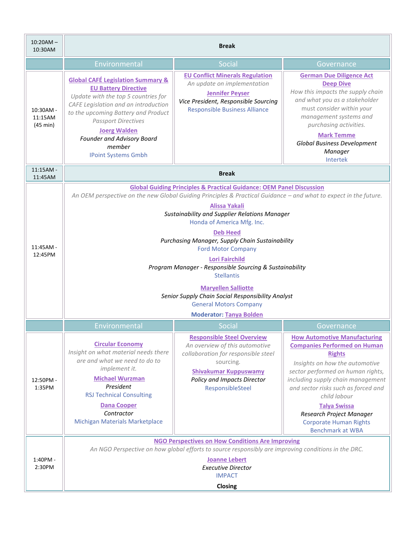| $10:20AM -$<br>10:30AM                     | <b>Break</b>                                                                                                                                                                                                                                                                                                                                                                                                                                                                                                                                                                                                                                                                 |                                                                                                                                                                                                            |                                                                                                                                                                                                                                                                                                                                                                               |
|--------------------------------------------|------------------------------------------------------------------------------------------------------------------------------------------------------------------------------------------------------------------------------------------------------------------------------------------------------------------------------------------------------------------------------------------------------------------------------------------------------------------------------------------------------------------------------------------------------------------------------------------------------------------------------------------------------------------------------|------------------------------------------------------------------------------------------------------------------------------------------------------------------------------------------------------------|-------------------------------------------------------------------------------------------------------------------------------------------------------------------------------------------------------------------------------------------------------------------------------------------------------------------------------------------------------------------------------|
|                                            | Environmental                                                                                                                                                                                                                                                                                                                                                                                                                                                                                                                                                                                                                                                                | Social                                                                                                                                                                                                     | Governance                                                                                                                                                                                                                                                                                                                                                                    |
| 10:30AM -<br>11:15AM<br>$(45 \text{ min})$ | <b>Global CAFÉ Legislation Summary &amp;</b><br><b>EU Battery Directive</b><br>Update with the top 5 countries for<br>CAFE Legislation and an introduction<br>to the upcoming Battery and Product<br><b>Passport Directives</b><br><b>Joerg Walden</b><br><b>Founder and Advisory Board</b><br>member<br><b>IPoint Systems Gmbh</b>                                                                                                                                                                                                                                                                                                                                          | <b>EU Conflict Minerals Regulation</b><br>An update on implementation<br><b>Jennifer Peyser</b><br>Vice President, Responsible Sourcing<br><b>Responsible Business Alliance</b>                            | <b>German Due Diligence Act</b><br><b>Deep Dive</b><br>How this impacts the supply chain<br>and what you as a stakeholder<br>must consider within your<br>management systems and<br>purchasing activities.<br><b>Mark Temme</b><br>Global Business Development<br>Manager<br>Intertek                                                                                         |
| 11:15AM -<br>11:45AM                       | <b>Break</b>                                                                                                                                                                                                                                                                                                                                                                                                                                                                                                                                                                                                                                                                 |                                                                                                                                                                                                            |                                                                                                                                                                                                                                                                                                                                                                               |
| $11:45AM -$<br>12:45PM                     | <b>Global Guiding Principles &amp; Practical Guidance: OEM Panel Discussion</b><br>An OEM perspective on the new Global Guiding Principles & Practical Guidance - and what to expect in the future.<br><b>Alissa Yakali</b><br>Sustainability and Supplier Relations Manager<br>Honda of America Mfg. Inc.<br><b>Deb Heed</b><br>Purchasing Manager, Supply Chain Sustainability<br><b>Ford Motor Company</b><br><b>Lori Fairchild</b><br>Program Manager - Responsible Sourcing & Sustainability<br><b>Stellantis</b><br><b>Maryellen Salliotte</b><br>Senior Supply Chain Social Responsibility Analyst<br><b>General Motors Company</b><br><b>Moderator: Tanya Bolden</b> |                                                                                                                                                                                                            |                                                                                                                                                                                                                                                                                                                                                                               |
|                                            | Environmental                                                                                                                                                                                                                                                                                                                                                                                                                                                                                                                                                                                                                                                                | <b>Social</b>                                                                                                                                                                                              | Governance                                                                                                                                                                                                                                                                                                                                                                    |
| 12:50PM -<br>1:35PM                        | <b>Circular Economy</b><br>Insight on what material needs there<br>are and what we need to do to<br>implement it.<br><b>Michael Wurzman</b><br>President<br><b>RSJ Technical Consulting</b><br><b>Dana Cooper</b><br>Contractor<br><b>Michigan Materials Marketplace</b>                                                                                                                                                                                                                                                                                                                                                                                                     | <b>Responsible Steel Overview</b><br>An overview of this automotive<br>collaboration for responsible steel<br>sourcing.<br><b>Shivakumar Kuppuswamy</b><br>Policy and Impacts Director<br>ResponsibleSteel | <b>How Automotive Manufacturing</b><br><b>Companies Performed on Human</b><br><b>Rights</b><br>Insights on how the automotive<br>sector performed on human rights,<br>including supply chain management<br>and sector risks such as forced and<br>child labour<br><b>Talya Swissa</b><br>Research Project Manager<br><b>Corporate Human Rights</b><br><b>Benchmark at WBA</b> |
| 1:40PM -<br>2:30PM                         | <b>NGO Perspectives on How Conditions Are Improving</b><br>An NGO Perspective on how global efforts to source responsibly are improving conditions in the DRC.<br><b>Joanne Lebert</b><br><b>Executive Director</b><br><b>IMPACT</b><br>Closing                                                                                                                                                                                                                                                                                                                                                                                                                              |                                                                                                                                                                                                            |                                                                                                                                                                                                                                                                                                                                                                               |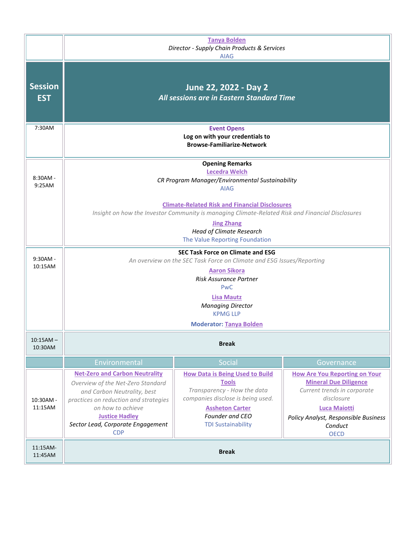|                              | <b>Tanya Bolden</b><br>Director - Supply Chain Products & Services<br><b>AIAG</b>                                                                                                                                                                                                             |                                                                                                                                                                                                      |                                                                                                                                                                                                            |  |
|------------------------------|-----------------------------------------------------------------------------------------------------------------------------------------------------------------------------------------------------------------------------------------------------------------------------------------------|------------------------------------------------------------------------------------------------------------------------------------------------------------------------------------------------------|------------------------------------------------------------------------------------------------------------------------------------------------------------------------------------------------------------|--|
| <b>Session</b><br><b>EST</b> | June 22, 2022 - Day 2<br>All sessions are in Eastern Standard Time                                                                                                                                                                                                                            |                                                                                                                                                                                                      |                                                                                                                                                                                                            |  |
| 7:30AM                       | <b>Event Opens</b><br>Log on with your credentials to<br><b>Browse-Familiarize-Network</b>                                                                                                                                                                                                    |                                                                                                                                                                                                      |                                                                                                                                                                                                            |  |
| $8:30AM -$<br>9:25AM         | <b>Opening Remarks</b><br><b>Lecedra Welch</b><br>CR Program Manager/Environmental Sustainability<br><b>AIAG</b>                                                                                                                                                                              |                                                                                                                                                                                                      |                                                                                                                                                                                                            |  |
|                              | <b>Climate-Related Risk and Financial Disclosures</b><br>Insight on how the Investor Community is managing Climate-Related Risk and Financial Disclosures<br><b>Jing Zhang</b>                                                                                                                |                                                                                                                                                                                                      |                                                                                                                                                                                                            |  |
|                              | <b>Head of Climate Research</b><br>The Value Reporting Foundation                                                                                                                                                                                                                             |                                                                                                                                                                                                      |                                                                                                                                                                                                            |  |
| $9:30AM -$<br>10:15AM        | <b>SEC Task Force on Climate and ESG</b><br>An overview on the SEC Task Force on Climate and ESG Issues/Reporting<br><b>Aaron Sikora</b><br><b>Risk Assurance Partner</b><br><b>PwC</b><br><b>Lisa Mautz</b><br><b>Managing Director</b><br><b>KPMG LLP</b><br><b>Moderator: Tanya Bolden</b> |                                                                                                                                                                                                      |                                                                                                                                                                                                            |  |
| $10:15AM -$<br>10:30AM       |                                                                                                                                                                                                                                                                                               | <b>Break</b>                                                                                                                                                                                         |                                                                                                                                                                                                            |  |
|                              | Environmental                                                                                                                                                                                                                                                                                 | Social                                                                                                                                                                                               | Governance                                                                                                                                                                                                 |  |
| 10:30AM -<br>11:15AM         | <b>Net-Zero and Carbon Neutrality</b><br>Overview of the Net-Zero Standard<br>and Carbon Neutrality, best<br>practices on reduction and strategies<br>on how to achieve<br><b>Justice Hadley</b><br>Sector Lead, Corporate Engagement<br><b>CDP</b>                                           | <b>How Data is Being Used to Build</b><br><b>Tools</b><br>Transparency - How the data<br>companies disclose is being used.<br><b>Assheton Carter</b><br>Founder and CEO<br><b>TDI Sustainability</b> | <b>How Are You Reporting on Your</b><br><b>Mineral Due Diligence</b><br>Current trends in corporate<br>disclosure<br><b>Luca Maiotti</b><br>Policy Analyst, Responsible Business<br>Conduct<br><b>OECD</b> |  |
| 11:15AM-<br>11:45AM          |                                                                                                                                                                                                                                                                                               | <b>Break</b>                                                                                                                                                                                         |                                                                                                                                                                                                            |  |